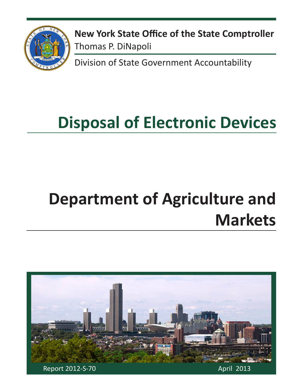

**New York State Office of the State Comptroller** Thomas P. DiNapoli

Division of State Government Accountability

# **Disposal of Electronic Devices**

# **Department of Agriculture and Markets**

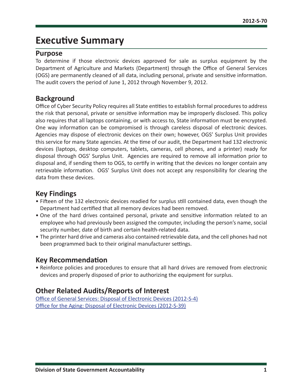## **Executive Summary**

#### **Purpose**

To determine if those electronic devices approved for sale as surplus equipment by the Department of Agriculture and Markets (Department) through the Office of General Services (OGS) are permanently cleaned of all data, including personal, private and sensitive information. The audit covers the period of June 1, 2012 through November 9, 2012.

#### **Background**

Office of Cyber Security Policy requires all State entities to establish formal procedures to address the risk that personal, private or sensitive information may be improperly disclosed. This policy also requires that all laptops containing, or with access to, State information must be encrypted. One way information can be compromised is through careless disposal of electronic devices. Agencies may dispose of electronic devices on their own; however, OGS' Surplus Unit provides this service for many State agencies. At the time of our audit, the Department had 132 electronic devices (laptops, desktop computers, tablets, cameras, cell phones, and a printer) ready for disposal through OGS' Surplus Unit. Agencies are required to remove all information prior to disposal and, if sending them to OGS, to certify in writing that the devices no longer contain any retrievable information. OGS' Surplus Unit does not accept any responsibility for clearing the data from these devices.

#### **Key Findings**

- Fifteen of the 132 electronic devices readied for surplus still contained data, even though the Department had certified that all memory devices had been removed.
- One of the hard drives contained personal, private and sensitive information related to an employee who had previously been assigned the computer, including the person's name, social security number, date of birth and certain health-related data.
- The printer hard drive and cameras also contained retrievable data, and the cell phones had not been programmed back to their original manufacturer settings.

#### **Key Recommendation**

• Reinforce policies and procedures to ensure that all hard drives are removed from electronic devices and properly disposed of prior to authorizing the equipment for surplus.

### **Other Related Audits/Reports of Interest**

[Office of General Services: Disposal of Electronic Devices \(2012-S-4\)](http://osc.state.ny.us/audits/allaudits/093013/12s4.pdf) [Office for the Aging: Disposal of Electronic Devices \(2012-S-39\)](http://osc.state.ny.us/audits/allaudits/093013/12s39.pdf)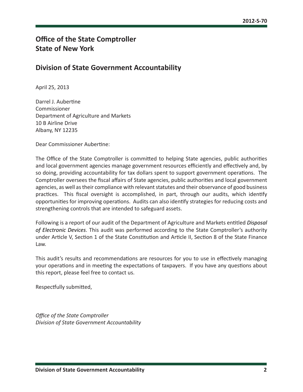## **Office of the State Comptroller State of New York**

#### **Division of State Government Accountability**

April 25, 2013

Darrel J. Aubertine Commissioner Department of Agriculture and Markets 10 B Airline Drive Albany, NY 12235

Dear Commissioner Aubertine:

The Office of the State Comptroller is committed to helping State agencies, public authorities and local government agencies manage government resources efficiently and effectively and, by so doing, providing accountability for tax dollars spent to support government operations. The Comptroller oversees the fiscal affairs of State agencies, public authorities and local government agencies, as well as their compliance with relevant statutes and their observance of good business practices. This fiscal oversight is accomplished, in part, through our audits, which identify opportunities for improving operations. Audits can also identify strategies for reducing costs and strengthening controls that are intended to safeguard assets.

Following is a report of our audit of the Department of Agriculture and Markets entitled *Disposal of Electronic Devices*. This audit was performed according to the State Comptroller's authority under Article V, Section 1 of the State Constitution and Article II, Section 8 of the State Finance Law.

This audit's results and recommendations are resources for you to use in effectively managing your operations and in meeting the expectations of taxpayers. If you have any questions about this report, please feel free to contact us.

Respectfully submitted,

*Office of the State Comptroller Division of State Government Accountability*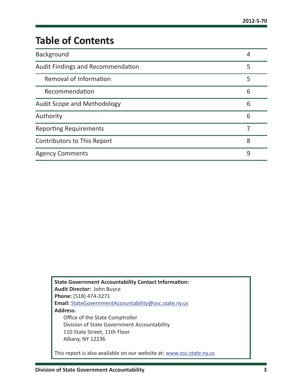## **Table of Contents**

| <b>Background</b>                  | 4 |
|------------------------------------|---|
| Audit Findings and Recommendation  | 5 |
| Removal of Information             | 5 |
| Recommendation                     | 6 |
| Audit Scope and Methodology        | 6 |
| Authority                          | 6 |
| <b>Reporting Requirements</b>      |   |
| <b>Contributors to This Report</b> | 8 |
| <b>Agency Comments</b>             | 9 |

**State Government Accountability Contact Information: Audit Director:** John Buyce **Phone:** (518) 474-3271 **Email:** [StateGovernmentAccountability@osc.state.ny.us](mailto:StateGovernmentAccountability%40osc.state.ny.us?subject=) **Address:** Office of the State Comptroller Division of State Government Accountability 110 State Street, 11th Floor Albany, NY 12236 This report is also available on our website at: [www.osc.state.ny.us](http://www.osc.state.ny.us)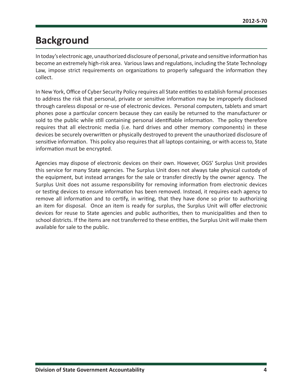## <span id="page-4-0"></span>**Background**

In today's electronic age, unauthorized disclosure of personal, private and sensitive information has become an extremely high-risk area. Various laws and regulations, including the State Technology Law, impose strict requirements on organizations to properly safeguard the information they collect.

In New York, Office of Cyber Security Policy requires all State entities to establish formal processes to address the risk that personal, private or sensitive information may be improperly disclosed through careless disposal or re-use of electronic devices. Personal computers, tablets and smart phones pose a particular concern because they can easily be returned to the manufacturer or sold to the public while still containing personal identifiable information. The policy therefore requires that all electronic media (i.e. hard drives and other memory components) in these devices be securely overwritten or physically destroyed to prevent the unauthorized disclosure of sensitive information. This policy also requires that all laptops containing, or with access to, State information must be encrypted.

Agencies may dispose of electronic devices on their own. However, OGS' Surplus Unit provides this service for many State agencies. The Surplus Unit does not always take physical custody of the equipment, but instead arranges for the sale or transfer directly by the owner agency. The Surplus Unit does not assume responsibility for removing information from electronic devices or testing devices to ensure information has been removed. Instead, it requires each agency to remove all information and to certify, in writing, that they have done so prior to authorizing an item for disposal. Once an item is ready for surplus, the Surplus Unit will offer electronic devices for reuse to State agencies and public authorities, then to municipalities and then to school districts. If the items are not transferred to these entities, the Surplus Unit will make them available for sale to the public.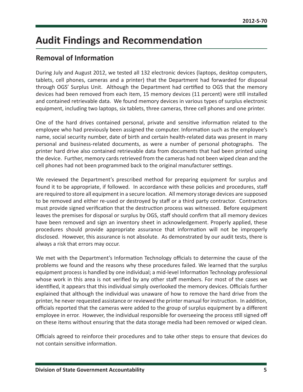## <span id="page-5-0"></span>**Audit Findings and Recommendation**

#### **Removal of Information**

During July and August 2012, we tested all 132 electronic devices (laptops, desktop computers, tablets, cell phones, cameras and a printer) that the Department had forwarded for disposal through OGS' Surplus Unit. Although the Department had certified to OGS that the memory devices had been removed from each item, 15 memory devices (11 percent) were still installed and contained retrievable data. We found memory devices in various types of surplus electronic equipment, including two laptops, six tablets, three cameras, three cell phones and one printer.

One of the hard drives contained personal, private and sensitive information related to the employee who had previously been assigned the computer. Information such as the employee's name, social security number, date of birth and certain health-related data was present in many personal and business-related documents, as were a number of personal photographs. The printer hard drive also contained retrievable data from documents that had been printed using the device. Further, memory cards retrieved from the cameras had not been wiped clean and the cell phones had not been programmed back to the original manufacturer settings.

We reviewed the Department's prescribed method for preparing equipment for surplus and found it to be appropriate, if followed. In accordance with these policies and procedures, staff are required to store all equipment in a secure location. All memory storage devices are supposed to be removed and either re-used or destroyed by staff or a third party contractor. Contractors must provide signed verification that the destruction process was witnessed. Before equipment leaves the premises for disposal or surplus by OGS, staff should confirm that all memory devices have been removed and sign an inventory sheet in acknowledgement. Properly applied, these procedures should provide appropriate assurance that information will not be improperly disclosed. However, this assurance is not absolute. As demonstrated by our audit tests, there is always a risk that errors may occur.

We met with the Department's Information Technology officials to determine the cause of the problems we found and the reasons why these procedures failed. We learned that the surplus equipment process is handled by one individual; a mid-level Information Technology professional whose work in this area is not verified by any other staff members. For most of the cases we identified, it appears that this individual simply overlooked the memory devices. Officials further explained that although the individual was unaware of how to remove the hard drive from the printer, he never requested assistance or reviewed the printer manual for instruction. In addition, officials reported that the cameras were added to the group of surplus equipment by a different employee in error. However, the individual responsible for overseeing the process still signed off on these items without ensuring that the data storage media had been removed or wiped clean.

Officials agreed to reinforce their procedures and to take other steps to ensure that devices do not contain sensitive information.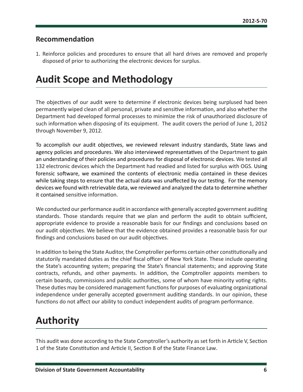#### <span id="page-6-0"></span>**Recommendation**

1. Reinforce policies and procedures to ensure that all hard drives are removed and properly disposed of prior to authorizing the electronic devices for surplus.

## **Audit Scope and Methodology**

The objectives of our audit were to determine if electronic devices being surplused had been permanently wiped clean of all personal, private and sensitive information, and also whether the Department had developed formal processes to minimize the risk of unauthorized disclosure of such information when disposing of its equipment. The audit covers the period of June 1, 2012 through November 9, 2012.

To accomplish our audit objectives, we reviewed relevant industry standards, State laws and agency policies and procedures. We also interviewed representatives of the Department to gain an understanding of their policies and procedures for disposal of electronic devices. We tested all 132 electronic devices which the Department had readied and listed for surplus with OGS. Using forensic software, we examined the contents of electronic media contained in these devices while taking steps to ensure that the actual data was unaffected by our testing. For the memory devices we found with retrievable data, we reviewed and analyzed the data to determine whether it contained sensitive information.

We conducted our performance audit in accordance with generally accepted government auditing standards. Those standards require that we plan and perform the audit to obtain sufficient, appropriate evidence to provide a reasonable basis for our findings and conclusions based on our audit objectives. We believe that the evidence obtained provides a reasonable basis for our findings and conclusions based on our audit objectives.

In addition to being the State Auditor, the Comptroller performs certain other constitutionally and statutorily mandated duties as the chief fiscal officer of New York State. These include operating the State's accounting system; preparing the State's financial statements; and approving State contracts, refunds, and other payments. In addition, the Comptroller appoints members to certain boards, commissions and public authorities, some of whom have minority voting rights. These duties may be considered management functions for purposes of evaluating organizational independence under generally accepted government auditing standards. In our opinion, these functions do not affect our ability to conduct independent audits of program performance.

## **Authority**

This audit was done according to the State Comptroller's authority as set forth in Article V, Section 1 of the State Constitution and Article II, Section 8 of the State Finance Law.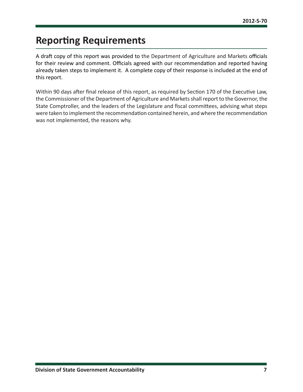## <span id="page-7-0"></span>**Reporting Requirements**

A draft copy of this report was provided to the Department of Agriculture and Markets officials for their review and comment. Officials agreed with our recommendation and reported having already taken steps to implement it. A complete copy of their response is included at the end of this report.

Within 90 days after final release of this report, as required by Section 170 of the Executive Law, the Commissioner of the Department of Agriculture and Markets shall report to the Governor, the State Comptroller, and the leaders of the Legislature and fiscal committees, advising what steps were taken to implement the recommendation contained herein, and where the recommendation was not implemented, the reasons why.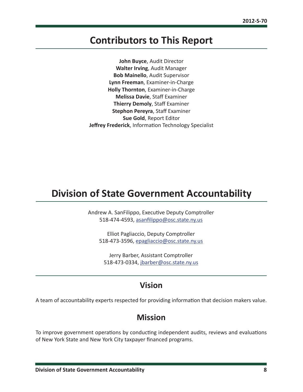## <span id="page-8-0"></span>**Contributors to This Report**

**John Buyce**, Audit Director **Walter Irving**, Audit Manager **Bob Mainello**, Audit Supervisor **Lynn Freeman**, Examiner-in-Charge **Holly Thornton**, Examiner-in-Charge **Melissa Davie**, Staff Examiner **Thierry Demoly**, Staff Examiner **Stephon Pereyra**, Staff Examiner **Sue Gold**, Report Editor **Jeffrey Frederick**, Information Technology Specialist

## **Division of State Government Accountability**

Andrew A. SanFilippo, Executive Deputy Comptroller 518-474-4593, [asanfilippo@osc.state.ny.us](mailto:asanfilippo%40osc.state.ny.us%0D?subject=)

Elliot Pagliaccio, Deputy Comptroller 518-473-3596, [epagliaccio@osc.state.ny.us](mailto:epagliaccio%40osc.state.ny.us?subject=)

Jerry Barber, Assistant Comptroller 518-473-0334, [jbarber@osc.state.ny.us](mailto:jbarber%40osc.state.ny.us?subject=)

### **Vision**

A team of accountability experts respected for providing information that decision makers value.

#### **Mission**

To improve government operations by conducting independent audits, reviews and evaluations of New York State and New York City taxpayer financed programs.